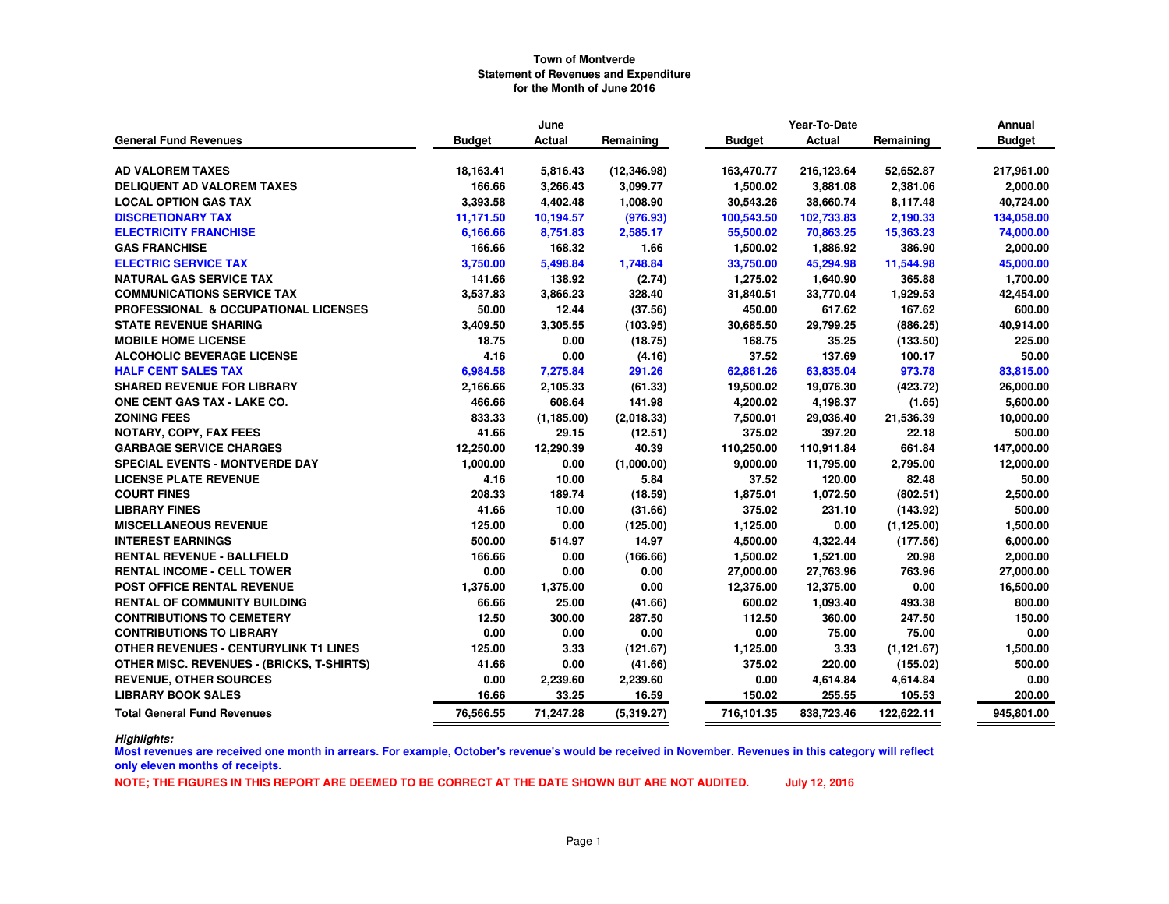|                                                  | June          |             |              | Year-To-Date  | Annual        |             |               |
|--------------------------------------------------|---------------|-------------|--------------|---------------|---------------|-------------|---------------|
| <b>General Fund Revenues</b>                     | <b>Budget</b> | Actual      | Remaining    | <b>Budget</b> | <b>Actual</b> | Remaining   | <b>Budget</b> |
|                                                  |               |             |              |               |               |             |               |
| <b>AD VALOREM TAXES</b>                          | 18,163.41     | 5,816.43    | (12, 346.98) | 163,470.77    | 216,123.64    | 52,652.87   | 217,961.00    |
| <b>DELIQUENT AD VALOREM TAXES</b>                | 166.66        | 3,266.43    | 3,099.77     | 1,500.02      | 3,881.08      | 2,381.06    | 2,000.00      |
| <b>LOCAL OPTION GAS TAX</b>                      | 3,393.58      | 4,402.48    | 1,008.90     | 30,543.26     | 38,660.74     | 8,117.48    | 40,724.00     |
| <b>DISCRETIONARY TAX</b>                         | 11,171.50     | 10,194.57   | (976.93)     | 100,543.50    | 102,733.83    | 2,190.33    | 134,058.00    |
| <b>ELECTRICITY FRANCHISE</b>                     | 6,166.66      | 8,751.83    | 2,585.17     | 55,500.02     | 70,863.25     | 15,363.23   | 74,000.00     |
| <b>GAS FRANCHISE</b>                             | 166.66        | 168.32      | 1.66         | 1,500.02      | 1,886.92      | 386.90      | 2,000.00      |
| <b>ELECTRIC SERVICE TAX</b>                      | 3,750.00      | 5,498.84    | 1,748.84     | 33,750.00     | 45,294.98     | 11,544.98   | 45,000.00     |
| <b>NATURAL GAS SERVICE TAX</b>                   | 141.66        | 138.92      | (2.74)       | 1,275.02      | 1,640.90      | 365.88      | 1,700.00      |
| <b>COMMUNICATIONS SERVICE TAX</b>                | 3,537.83      | 3,866.23    | 328.40       | 31,840.51     | 33,770.04     | 1,929.53    | 42,454.00     |
| PROFESSIONAL & OCCUPATIONAL LICENSES             | 50.00         | 12.44       | (37.56)      | 450.00        | 617.62        | 167.62      | 600.00        |
| <b>STATE REVENUE SHARING</b>                     | 3,409.50      | 3,305.55    | (103.95)     | 30,685.50     | 29,799.25     | (886.25)    | 40,914.00     |
| <b>MOBILE HOME LICENSE</b>                       | 18.75         | 0.00        | (18.75)      | 168.75        | 35.25         | (133.50)    | 225.00        |
| <b>ALCOHOLIC BEVERAGE LICENSE</b>                | 4.16          | 0.00        | (4.16)       | 37.52         | 137.69        | 100.17      | 50.00         |
| <b>HALF CENT SALES TAX</b>                       | 6,984.58      | 7,275.84    | 291.26       | 62,861.26     | 63,835.04     | 973.78      | 83,815.00     |
| <b>SHARED REVENUE FOR LIBRARY</b>                | 2,166.66      | 2,105.33    | (61.33)      | 19,500.02     | 19,076.30     | (423.72)    | 26,000.00     |
| ONE CENT GAS TAX - LAKE CO.                      | 466.66        | 608.64      | 141.98       | 4,200.02      | 4,198.37      | (1.65)      | 5,600.00      |
| <b>ZONING FEES</b>                               | 833.33        | (1, 185.00) | (2,018.33)   | 7,500.01      | 29,036.40     | 21,536.39   | 10,000.00     |
| NOTARY, COPY, FAX FEES                           | 41.66         | 29.15       | (12.51)      | 375.02        | 397.20        | 22.18       | 500.00        |
| <b>GARBAGE SERVICE CHARGES</b>                   | 12,250.00     | 12,290.39   | 40.39        | 110,250.00    | 110,911.84    | 661.84      | 147,000.00    |
| <b>SPECIAL EVENTS - MONTVERDE DAY</b>            | 1,000.00      | 0.00        | (1,000.00)   | 9,000.00      | 11,795.00     | 2,795.00    | 12,000.00     |
| <b>LICENSE PLATE REVENUE</b>                     | 4.16          | 10.00       | 5.84         | 37.52         | 120.00        | 82.48       | 50.00         |
| <b>COURT FINES</b>                               | 208.33        | 189.74      | (18.59)      | 1,875.01      | 1,072.50      | (802.51)    | 2,500.00      |
| <b>LIBRARY FINES</b>                             | 41.66         | 10.00       | (31.66)      | 375.02        | 231.10        | (143.92)    | 500.00        |
| <b>MISCELLANEOUS REVENUE</b>                     | 125.00        | 0.00        | (125.00)     | 1,125.00      | 0.00          | (1, 125.00) | 1,500.00      |
| <b>INTEREST EARNINGS</b>                         | 500.00        | 514.97      | 14.97        | 4,500.00      | 4,322.44      | (177.56)    | 6,000.00      |
| <b>RENTAL REVENUE - BALLFIELD</b>                | 166.66        | 0.00        | (166.66)     | 1,500.02      | 1,521.00      | 20.98       | 2,000.00      |
| <b>RENTAL INCOME - CELL TOWER</b>                | 0.00          | 0.00        | 0.00         | 27,000.00     | 27,763.96     | 763.96      | 27,000.00     |
| POST OFFICE RENTAL REVENUE                       | 1,375.00      | 1,375.00    | 0.00         | 12,375.00     | 12,375.00     | 0.00        | 16,500.00     |
| <b>RENTAL OF COMMUNITY BUILDING</b>              | 66.66         | 25.00       | (41.66)      | 600.02        | 1,093.40      | 493.38      | 800.00        |
| <b>CONTRIBUTIONS TO CEMETERY</b>                 | 12.50         | 300.00      | 287.50       | 112.50        | 360.00        | 247.50      | 150.00        |
| <b>CONTRIBUTIONS TO LIBRARY</b>                  | 0.00          | 0.00        | 0.00         | 0.00          | 75.00         | 75.00       | 0.00          |
| <b>OTHER REVENUES - CENTURYLINK T1 LINES</b>     | 125.00        | 3.33        | (121.67)     | 1,125.00      | 3.33          | (1, 121.67) | 1,500.00      |
| <b>OTHER MISC. REVENUES - (BRICKS, T-SHIRTS)</b> | 41.66         | 0.00        | (41.66)      | 375.02        | 220.00        | (155.02)    | 500.00        |
| <b>REVENUE, OTHER SOURCES</b>                    | 0.00          | 2,239.60    | 2,239.60     | 0.00          | 4,614.84      | 4,614.84    | 0.00          |
| <b>LIBRARY BOOK SALES</b>                        | 16.66         | 33.25       | 16.59        | 150.02        | 255.55        | 105.53      | 200.00        |
| <b>Total General Fund Revenues</b>               | 76,566.55     | 71,247.28   | (5,319.27)   | 716,101.35    | 838,723.46    | 122,622.11  | 945,801.00    |

*Highlights:*

 **Most revenues are received one month in arrears. For example, October's revenue's would be received in November. Revenues in this category will reflect only eleven months of receipts.**

**NOTE; THE FIGURES IN THIS REPORT ARE DEEMED TO BE CORRECT AT THE DATE SHOWN BUT ARE NOT AUDITED. July 12, 2016**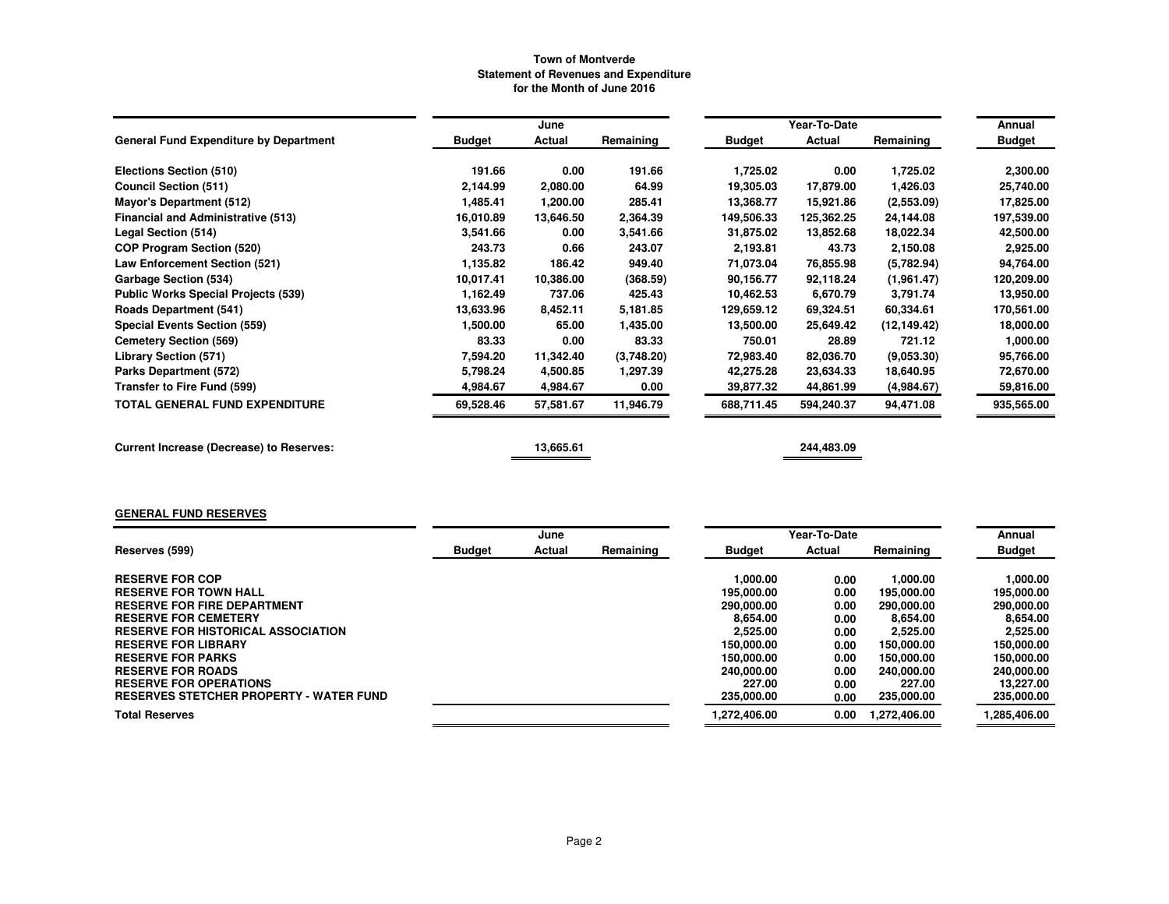|                                                 |               | June      |            |               | Year-To-Date |              | Annual        |
|-------------------------------------------------|---------------|-----------|------------|---------------|--------------|--------------|---------------|
| <b>General Fund Expenditure by Department</b>   | <b>Budget</b> | Actual    | Remaining  | <b>Budget</b> | Actual       | Remaining    | <b>Budget</b> |
| Elections Section (510)                         | 191.66        | 0.00      | 191.66     | 1,725.02      | 0.00         | 1,725.02     | 2,300.00      |
| <b>Council Section (511)</b>                    | 2,144.99      | 2,080.00  | 64.99      | 19,305.03     | 17,879.00    | 1,426.03     | 25,740.00     |
| Mayor's Department (512)                        | 1,485.41      | 1,200.00  | 285.41     | 13,368.77     | 15,921.86    | (2,553.09)   | 17,825.00     |
| <b>Financial and Administrative (513)</b>       | 16,010.89     | 13,646.50 | 2,364.39   | 149,506.33    | 125,362.25   | 24,144.08    | 197,539.00    |
| Legal Section (514)                             | 3,541.66      | 0.00      | 3,541.66   | 31,875.02     | 13,852.68    | 18,022.34    | 42,500.00     |
| <b>COP Program Section (520)</b>                | 243.73        | 0.66      | 243.07     | 2,193.81      | 43.73        | 2,150.08     | 2,925.00      |
| Law Enforcement Section (521)                   | 1,135.82      | 186.42    | 949.40     | 71,073.04     | 76,855.98    | (5,782.94)   | 94,764.00     |
| Garbage Section (534)                           | 10.017.41     | 10,386.00 | (368.59)   | 90.156.77     | 92,118.24    | (1,961.47)   | 120,209.00    |
| <b>Public Works Special Projects (539)</b>      | 1,162.49      | 737.06    | 425.43     | 10,462.53     | 6,670.79     | 3,791.74     | 13,950.00     |
| <b>Roads Department (541)</b>                   | 13.633.96     | 8,452.11  | 5,181.85   | 129,659.12    | 69,324.51    | 60,334.61    | 170,561.00    |
| Special Events Section (559)                    | 1,500.00      | 65.00     | 1,435.00   | 13,500.00     | 25,649.42    | (12, 149.42) | 18,000.00     |
| <b>Cemetery Section (569)</b>                   | 83.33         | 0.00      | 83.33      | 750.01        | 28.89        | 721.12       | 1,000.00      |
| <b>Library Section (571)</b>                    | 7,594.20      | 11,342.40 | (3,748.20) | 72,983.40     | 82,036.70    | (9,053.30)   | 95,766.00     |
| Parks Department (572)                          | 5,798.24      | 4,500.85  | 1,297.39   | 42,275.28     | 23,634.33    | 18,640.95    | 72,670.00     |
| Transfer to Fire Fund (599)                     | 4,984.67      | 4,984.67  | 0.00       | 39,877.32     | 44,861.99    | (4,984.67)   | 59,816.00     |
| <b>TOTAL GENERAL FUND EXPENDITURE</b>           | 69,528.46     | 57,581.67 | 11,946.79  | 688,711.45    | 594,240.37   | 94,471.08    | 935,565.00    |
| <b>Current Increase (Decrease) to Reserves:</b> |               | 13,665.61 |            |               | 244,483.09   |              |               |

## **GENERAL FUND RESERVES**

|                                                |               | June   |           |               |        | Year-To-Date |              | Annual        |  |
|------------------------------------------------|---------------|--------|-----------|---------------|--------|--------------|--------------|---------------|--|
| Reserves (599)                                 | <b>Budget</b> | Actual | Remaining | <b>Budget</b> |        | Actual       | Remaining    | <b>Budget</b> |  |
|                                                |               |        |           |               |        |              |              |               |  |
| <b>RESERVE FOR COP</b>                         |               |        |           | 1.000.00      |        | 0.00         | 1.000.00     | 1,000.00      |  |
| <b>RESERVE FOR TOWN HALL</b>                   |               |        |           | 195,000.00    |        | 0.00         | 195,000.00   | 195,000.00    |  |
| <b>RESERVE FOR FIRE DEPARTMENT</b>             |               |        |           | 290,000,00    |        | 0.00         | 290,000.00   | 290,000.00    |  |
| <b>RESERVE FOR CEMETERY</b>                    |               |        |           | 8.654.00      |        | 0.00         | 8.654.00     | 8.654.00      |  |
| <b>RESERVE FOR HISTORICAL ASSOCIATION</b>      |               |        |           | 2.525.00      |        | 0.00         | 2,525.00     | 2,525.00      |  |
| <b>RESERVE FOR LIBRARY</b>                     |               |        |           | 150.000.00    |        | 0.00         | 150,000,00   | 150.000.00    |  |
| <b>RESERVE FOR PARKS</b>                       |               |        |           | 150.000.00    |        | 0.00         | 150,000,00   | 150.000.00    |  |
| <b>RESERVE FOR ROADS</b>                       |               |        |           | 240,000.00    |        | 0.00         | 240,000,00   | 240.000.00    |  |
| <b>RESERVE FOR OPERATIONS</b>                  |               |        |           |               | 227.00 | 0.00         | 227.00       | 13.227.00     |  |
| <b>RESERVES STETCHER PROPERTY - WATER FUND</b> |               |        |           | 235,000.00    |        | 0.00         | 235,000.00   | 235,000.00    |  |
| <b>Total Reserves</b>                          |               |        |           | 1.272.406.00  |        | 0.00         | 1.272.406.00 | 1,285,406.00  |  |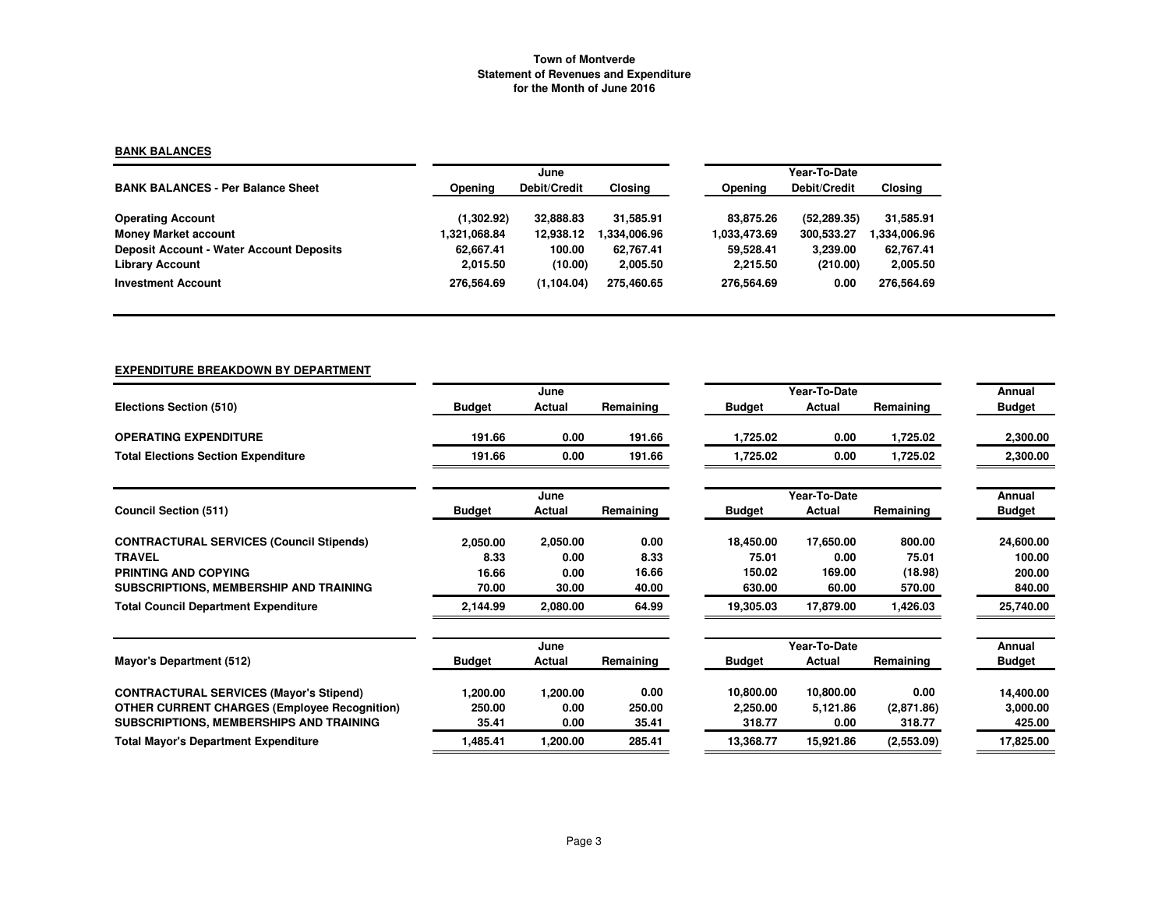## **BANK BALANCES**

|                                                 |              | June         |              | Year-To-Date   |              |              |  |  |
|-------------------------------------------------|--------------|--------------|--------------|----------------|--------------|--------------|--|--|
| <b>BANK BALANCES - Per Balance Sheet</b>        | Opening      | Debit/Credit | Closing      | <b>Opening</b> | Debit/Credit | Closing      |  |  |
| <b>Operating Account</b>                        | (1,302.92)   | 32,888,83    | 31.585.91    | 83.875.26      | (52, 289.35) | 31,585.91    |  |  |
| <b>Money Market account</b>                     | 1,321,068.84 | 12.938.12    | 1.334.006.96 | 1,033,473.69   | 300,533.27   | 1,334,006.96 |  |  |
| <b>Deposit Account - Water Account Deposits</b> | 62.667.41    | 100.00       | 62.767.41    | 59,528.41      | 3.239.00     | 62,767.41    |  |  |
| <b>Library Account</b>                          | 2.015.50     | (10.00)      | 2,005.50     | 2,215.50       | (210.00)     | 2,005.50     |  |  |
| <b>Investment Account</b>                       | 276.564.69   | (1, 104.04)  | 275.460.65   | 276.564.69     | 0.00         | 276.564.69   |  |  |

# **EXPENDITURE BREAKDOWN BY DEPARTMENT**

|                                                     |               | June     |           |               | Year-To-Date |            | Annual        |
|-----------------------------------------------------|---------------|----------|-----------|---------------|--------------|------------|---------------|
| Elections Section (510)                             | <b>Budget</b> | Actual   | Remaining | <b>Budget</b> | Actual       | Remaining  | <b>Budget</b> |
| <b>OPERATING EXPENDITURE</b>                        | 191.66        | 0.00     | 191.66    | 1,725.02      | 0.00         | 1,725.02   | 2,300.00      |
| <b>Total Elections Section Expenditure</b>          | 191.66        | 0.00     | 191.66    | 1,725.02      | 0.00         | 1,725.02   | 2,300.00      |
|                                                     |               | June     |           |               | Year-To-Date |            | Annual        |
| <b>Council Section (511)</b>                        | <b>Budget</b> | Actual   | Remaining | Budget        | Actual       | Remaining  | <b>Budget</b> |
| <b>CONTRACTURAL SERVICES (Council Stipends)</b>     | 2,050.00      | 2,050.00 | 0.00      | 18,450.00     | 17,650.00    | 800.00     | 24,600.00     |
| <b>TRAVEL</b>                                       | 8.33          | 0.00     | 8.33      | 75.01         | 0.00         | 75.01      | 100.00        |
| PRINTING AND COPYING                                | 16.66         | 0.00     | 16.66     | 150.02        | 169.00       | (18.98)    | 200.00        |
| SUBSCRIPTIONS, MEMBERSHIP AND TRAINING              | 70.00         | 30.00    | 40.00     | 630.00        | 60.00        | 570.00     | 840.00        |
| <b>Total Council Department Expenditure</b>         | 2,144.99      | 2,080.00 | 64.99     | 19,305.03     | 17,879.00    | 1,426.03   | 25,740.00     |
|                                                     |               | June     |           |               | Year-To-Date |            | Annual        |
| Mayor's Department (512)                            | <b>Budget</b> | Actual   | Remaining | <b>Budget</b> | Actual       | Remaining  | <b>Budget</b> |
| <b>CONTRACTURAL SERVICES (Mayor's Stipend)</b>      | 1,200.00      | 1,200.00 | 0.00      | 10,800.00     | 10,800.00    | 0.00       | 14,400.00     |
| <b>OTHER CURRENT CHARGES (Employee Recognition)</b> | 250.00        | 0.00     | 250.00    | 2.250.00      | 5,121.86     | (2,871.86) | 3,000.00      |
| SUBSCRIPTIONS, MEMBERSHIPS AND TRAINING             | 35.41         | 0.00     | 35.41     | 318.77        | 0.00         | 318.77     | 425.00        |
| <b>Total Mayor's Department Expenditure</b>         | 1,485.41      | 1,200.00 | 285.41    | 13,368.77     | 15,921.86    | (2,553.09) | 17,825.00     |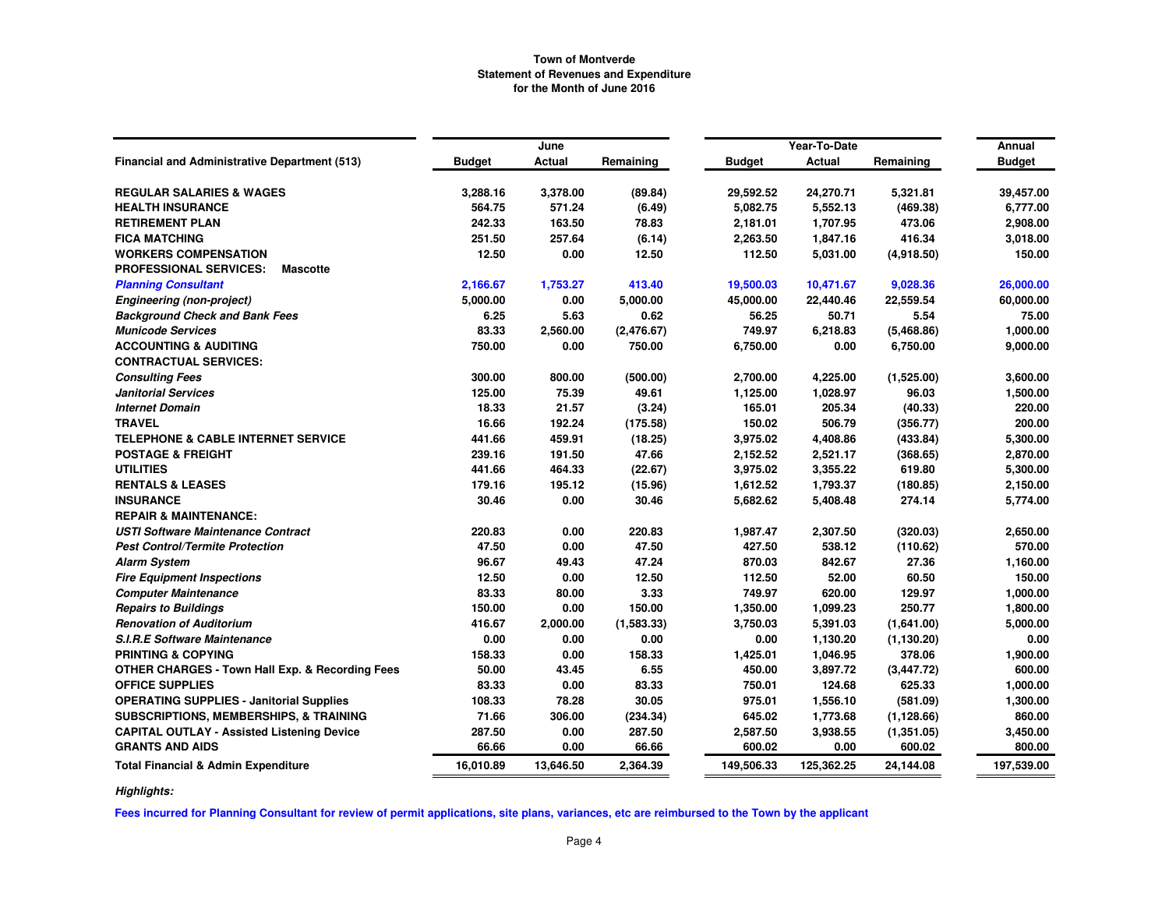|                                                            |               | June          |            |               | Year-To-Date  |             | Annual        |
|------------------------------------------------------------|---------------|---------------|------------|---------------|---------------|-------------|---------------|
| <b>Financial and Administrative Department (513)</b>       | <b>Budget</b> | <b>Actual</b> | Remaining  | <b>Budget</b> | <b>Actual</b> | Remaining   | <b>Budget</b> |
| <b>REGULAR SALARIES &amp; WAGES</b>                        | 3,288.16      | 3,378.00      | (89.84)    | 29,592.52     | 24,270.71     | 5,321.81    | 39,457.00     |
| <b>HEALTH INSURANCE</b>                                    | 564.75        | 571.24        | (6.49)     | 5,082.75      | 5,552.13      | (469.38)    | 6,777.00      |
| <b>RETIREMENT PLAN</b>                                     | 242.33        | 163.50        | 78.83      | 2,181.01      | 1,707.95      | 473.06      | 2,908.00      |
| <b>FICA MATCHING</b>                                       | 251.50        | 257.64        | (6.14)     | 2,263.50      | 1,847.16      | 416.34      | 3,018.00      |
| <b>WORKERS COMPENSATION</b>                                | 12.50         | 0.00          | 12.50      | 112.50        | 5,031.00      | (4,918.50)  | 150.00        |
| <b>PROFESSIONAL SERVICES:</b><br><b>Mascotte</b>           |               |               |            |               |               |             |               |
| <b>Planning Consultant</b>                                 | 2,166.67      | 1,753.27      | 413.40     | 19,500.03     | 10,471.67     | 9,028.36    | 26,000.00     |
| <b>Engineering (non-project)</b>                           | 5,000.00      | 0.00          | 5,000.00   | 45,000.00     | 22,440.46     | 22,559.54   | 60,000.00     |
| <b>Background Check and Bank Fees</b>                      | 6.25          | 5.63          | 0.62       | 56.25         | 50.71         | 5.54        | 75.00         |
| <b>Municode Services</b>                                   | 83.33         | 2,560.00      | (2,476.67) | 749.97        | 6,218.83      | (5,468.86)  | 1,000.00      |
| <b>ACCOUNTING &amp; AUDITING</b>                           | 750.00        | 0.00          | 750.00     | 6,750.00      | 0.00          | 6,750.00    | 9,000.00      |
| <b>CONTRACTUAL SERVICES:</b>                               |               |               |            |               |               |             |               |
| <b>Consulting Fees</b>                                     | 300.00        | 800.00        | (500.00)   | 2,700.00      | 4,225.00      | (1,525.00)  | 3,600.00      |
| <b>Janitorial Services</b>                                 | 125.00        | 75.39         | 49.61      | 1,125.00      | 1,028.97      | 96.03       | 1,500.00      |
| <b>Internet Domain</b>                                     | 18.33         | 21.57         | (3.24)     | 165.01        | 205.34        | (40.33)     | 220.00        |
| <b>TRAVEL</b>                                              | 16.66         | 192.24        | (175.58)   | 150.02        | 506.79        | (356.77)    | 200.00        |
| <b>TELEPHONE &amp; CABLE INTERNET SERVICE</b>              | 441.66        | 459.91        | (18.25)    | 3,975.02      | 4,408.86      | (433.84)    | 5,300.00      |
| <b>POSTAGE &amp; FREIGHT</b>                               | 239.16        | 191.50        | 47.66      | 2,152.52      | 2,521.17      | (368.65)    | 2,870.00      |
| <b>UTILITIES</b>                                           | 441.66        | 464.33        | (22.67)    | 3,975.02      | 3,355.22      | 619.80      | 5,300.00      |
| <b>RENTALS &amp; LEASES</b>                                | 179.16        | 195.12        | (15.96)    | 1,612.52      | 1,793.37      | (180.85)    | 2,150.00      |
| <b>INSURANCE</b>                                           | 30.46         | 0.00          | 30.46      | 5,682.62      | 5,408.48      | 274.14      | 5,774.00      |
| <b>REPAIR &amp; MAINTENANCE:</b>                           |               |               |            |               |               |             |               |
| <b>USTI Software Maintenance Contract</b>                  | 220.83        | 0.00          | 220.83     | 1,987.47      | 2,307.50      | (320.03)    | 2,650.00      |
| <b>Pest Control/Termite Protection</b>                     | 47.50         | 0.00          | 47.50      | 427.50        | 538.12        | (110.62)    | 570.00        |
| <b>Alarm System</b>                                        | 96.67         | 49.43         | 47.24      | 870.03        | 842.67        | 27.36       | 1,160.00      |
| <b>Fire Equipment Inspections</b>                          | 12.50         | 0.00          | 12.50      | 112.50        | 52.00         | 60.50       | 150.00        |
| <b>Computer Maintenance</b>                                | 83.33         | 80.00         | 3.33       | 749.97        | 620.00        | 129.97      | 1,000.00      |
| <b>Repairs to Buildings</b>                                | 150.00        | 0.00          | 150.00     | 1,350.00      | 1,099.23      | 250.77      | 1,800.00      |
| <b>Renovation of Auditorium</b>                            | 416.67        | 2,000.00      | (1,583.33) | 3,750.03      | 5,391.03      | (1,641.00)  | 5,000.00      |
| <b>S.I.R.E Software Maintenance</b>                        | 0.00          | 0.00          | 0.00       | 0.00          | 1,130.20      | (1, 130.20) | 0.00          |
| <b>PRINTING &amp; COPYING</b>                              | 158.33        | 0.00          | 158.33     | 1,425.01      | 1,046.95      | 378.06      | 1,900.00      |
| <b>OTHER CHARGES - Town Hall Exp. &amp; Recording Fees</b> | 50.00         | 43.45         | 6.55       | 450.00        | 3,897.72      | (3, 447.72) | 600.00        |
| <b>OFFICE SUPPLIES</b>                                     | 83.33         | 0.00          | 83.33      | 750.01        | 124.68        | 625.33      | 1,000.00      |
| <b>OPERATING SUPPLIES - Janitorial Supplies</b>            | 108.33        | 78.28         | 30.05      | 975.01        | 1,556.10      | (581.09)    | 1,300.00      |
| SUBSCRIPTIONS, MEMBERSHIPS, & TRAINING                     | 71.66         | 306.00        | (234.34)   | 645.02        | 1,773.68      | (1, 128.66) | 860.00        |
| <b>CAPITAL OUTLAY - Assisted Listening Device</b>          | 287.50        | 0.00          | 287.50     | 2,587.50      | 3,938.55      | (1,351.05)  | 3,450.00      |
| <b>GRANTS AND AIDS</b>                                     | 66.66         | 0.00          | 66.66      | 600.02        | 0.00          | 600.02      | 800.00        |
| <b>Total Financial &amp; Admin Expenditure</b>             | 16,010.89     | 13,646.50     | 2,364.39   | 149,506.33    | 125,362.25    | 24,144.08   | 197,539.00    |

*Highlights:*

**Fees incurred for Planning Consultant for review of permit applications, site plans, variances, etc are reimbursed to the Town by the applicant**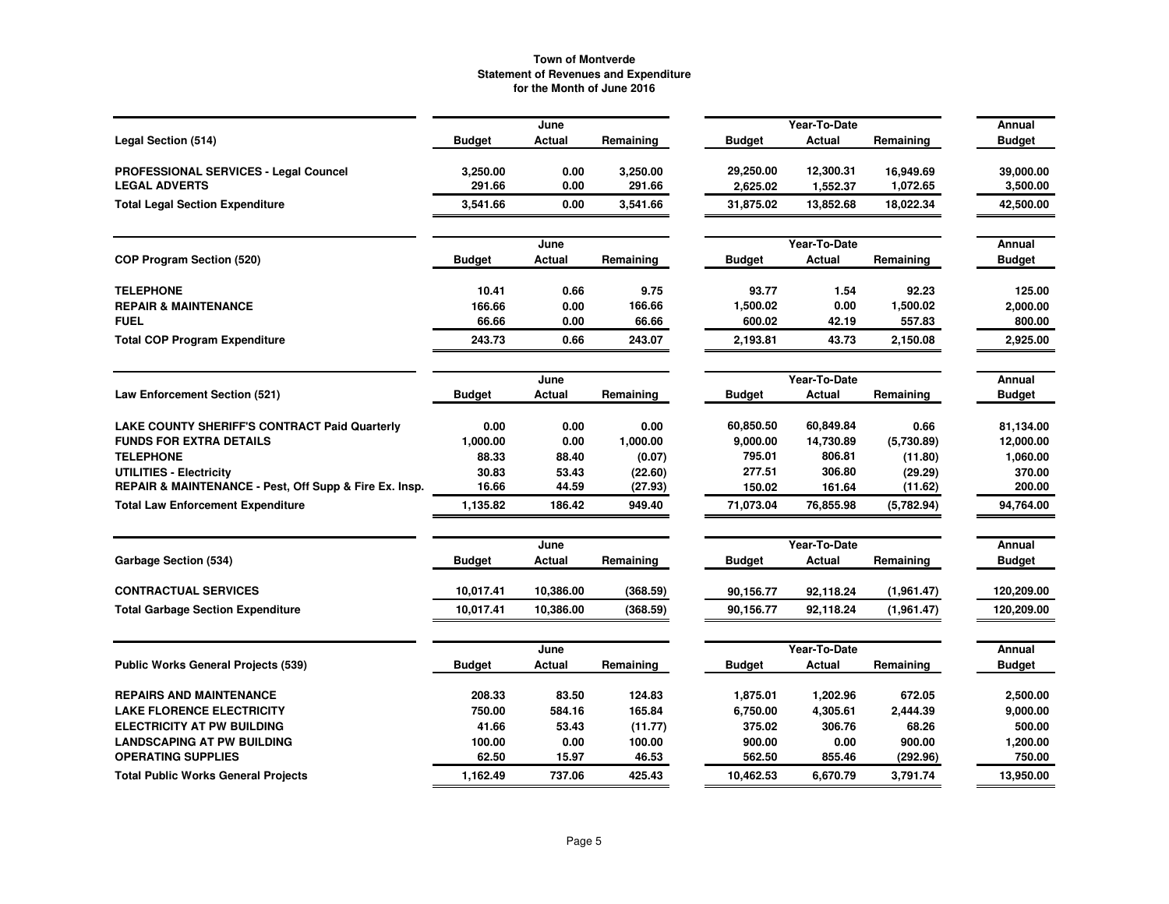|                                                        |               | June           |           |               | Year-To-Date           |             | Annual                  |
|--------------------------------------------------------|---------------|----------------|-----------|---------------|------------------------|-------------|-------------------------|
| Legal Section (514)                                    | <b>Budget</b> | Actual         | Remaining | <b>Budget</b> | Actual                 | Remaining   | <b>Budget</b>           |
| PROFESSIONAL SERVICES - Legal Councel                  | 3,250.00      | 0.00           | 3,250.00  | 29,250.00     | 12,300.31              | 16,949.69   | 39,000.00               |
| <b>LEGAL ADVERTS</b>                                   | 291.66        | 0.00           | 291.66    | 2,625.02      | 1,552.37               | 1,072.65    | 3,500.00                |
| <b>Total Legal Section Expenditure</b>                 | 3,541.66      | 0.00           | 3,541.66  | 31,875.02     | 13,852.68              | 18,022.34   | 42,500.00               |
|                                                        |               | June           |           |               | Year-To-Date           |             | Annual                  |
| <b>COP Program Section (520)</b>                       | <b>Budget</b> | Actual         | Remaining | <b>Budget</b> | Actual                 | Remaining   | <b>Budget</b>           |
| <b>TELEPHONE</b>                                       | 10.41         | 0.66           | 9.75      | 93.77         | 1.54                   | 92.23       | 125.00                  |
| <b>REPAIR &amp; MAINTENANCE</b>                        | 166.66        | 0.00           | 166.66    | 1,500.02      | 0.00                   | 1,500.02    | 2,000.00                |
| <b>FUEL</b>                                            | 66.66         | 0.00           | 66.66     | 600.02        | 42.19                  | 557.83      | 800.00                  |
| <b>Total COP Program Expenditure</b>                   | 243.73        | 0.66           | 243.07    | 2,193.81      | 43.73                  | 2,150.08    | 2,925.00                |
|                                                        |               | June           |           |               | Year-To-Date           |             | Annual                  |
| <b>Law Enforcement Section (521)</b>                   | <b>Budget</b> | Actual         | Remaining | <b>Budget</b> | Actual                 | Remaining   | <b>Budget</b>           |
| <b>LAKE COUNTY SHERIFF'S CONTRACT Paid Quarterly</b>   | 0.00          | 0.00           | 0.00      | 60,850.50     | 60,849.84              | 0.66        | 81,134.00               |
| <b>FUNDS FOR EXTRA DETAILS</b>                         | 1,000.00      | 0.00           | 1,000.00  | 9,000.00      | 14,730.89              | (5.730.89)  | 12,000.00               |
| <b>TELEPHONE</b>                                       | 88.33         | 88.40          | (0.07)    | 795.01        | 806.81                 | (11.80)     | 1,060.00                |
| UTILITIES - Electricity                                | 30.83         | 53.43          | (22.60)   | 277.51        | 306.80                 | (29.29)     | 370.00                  |
| REPAIR & MAINTENANCE - Pest, Off Supp & Fire Ex. Insp. | 16.66         | 44.59          | (27.93)   | 150.02        | 161.64                 | (11.62)     | 200.00                  |
| <b>Total Law Enforcement Expenditure</b>               | 1,135.82      | 186.42         | 949.40    | 71,073.04     | 76,855.98              | (5,782.94)  | 94,764.00               |
|                                                        |               | June           |           |               | Year-To-Date           |             | Annual                  |
| Garbage Section (534)                                  | <b>Budget</b> | Actual         | Remaining | <b>Budget</b> | Actual                 | Remaining   | <b>Budget</b>           |
| <b>CONTRACTUAL SERVICES</b>                            | 10,017.41     | 10,386.00      | (368.59)  | 90,156.77     | 92,118.24              | (1,961.47)  | 120,209.00              |
| <b>Total Garbage Section Expenditure</b>               | 10,017.41     | 10,386.00      | (368.59)  | 90,156.77     | 92,118.24              | (1, 961.47) | 120,209.00              |
|                                                        |               |                |           |               |                        |             |                         |
| <b>Public Works General Projects (539)</b>             | <b>Budget</b> | June<br>Actual | Remaining | <b>Budget</b> | Year-To-Date<br>Actual | Remaining   | Annual<br><b>Budget</b> |
|                                                        |               |                |           |               |                        |             |                         |
| <b>REPAIRS AND MAINTENANCE</b>                         | 208.33        | 83.50          | 124.83    | 1,875.01      | 1,202.96               | 672.05      | 2,500.00                |
| <b>LAKE FLORENCE ELECTRICITY</b>                       | 750.00        | 584.16         | 165.84    | 6,750.00      | 4,305.61               | 2,444.39    | 9,000.00                |
| <b>ELECTRICITY AT PW BUILDING</b>                      | 41.66         | 53.43          | (11.77)   | 375.02        | 306.76                 | 68.26       | 500.00                  |
| <b>LANDSCAPING AT PW BUILDING</b>                      | 100.00        | 0.00           | 100.00    | 900.00        | 0.00                   | 900.00      | 1,200.00                |
| <b>OPERATING SUPPLIES</b>                              | 62.50         | 15.97          | 46.53     | 562.50        | 855.46                 | (292.96)    | 750.00                  |
| <b>Total Public Works General Projects</b>             | 1,162.49      | 737.06         | 425.43    | 10.462.53     | 6,670.79               | 3.791.74    | 13,950.00               |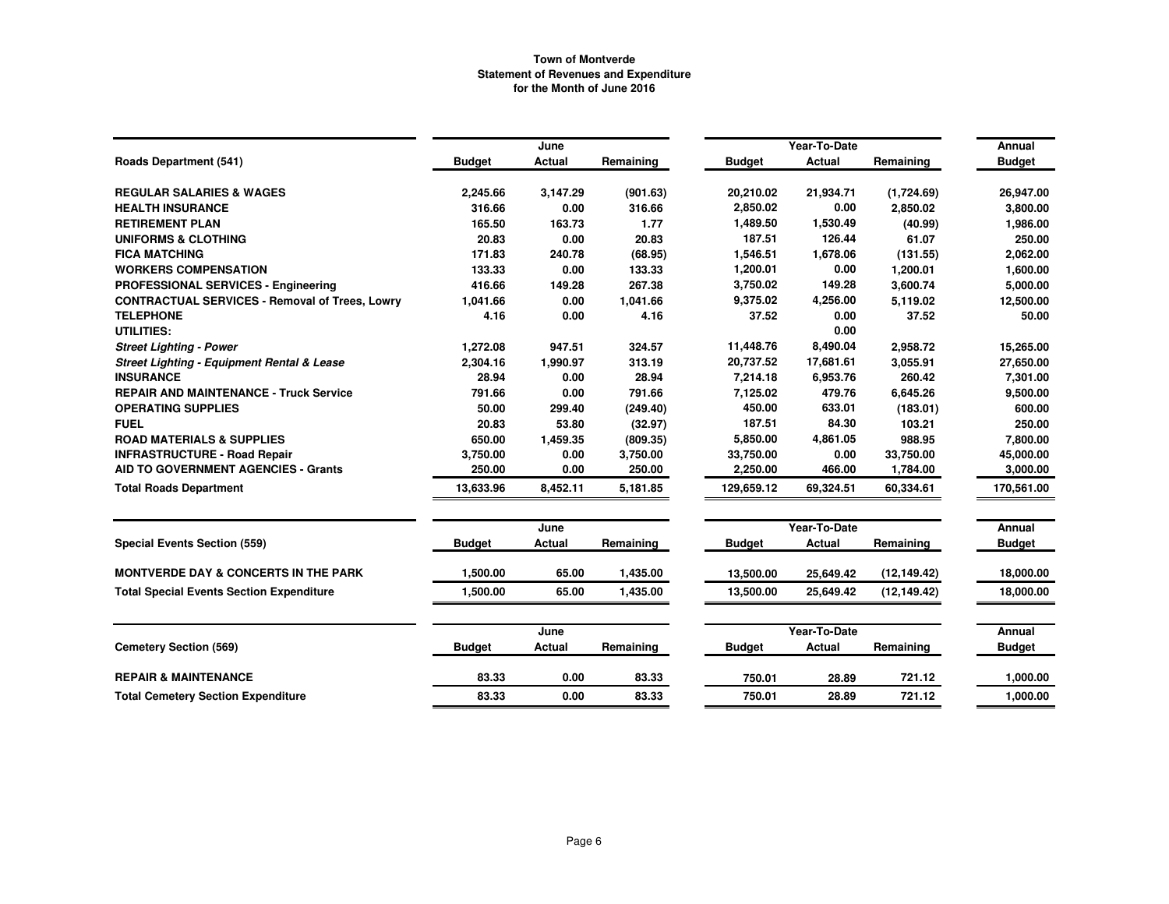|                                                       |               | June     |           |               | Year-To-Date  |              | Annual        |
|-------------------------------------------------------|---------------|----------|-----------|---------------|---------------|--------------|---------------|
| <b>Roads Department (541)</b>                         | <b>Budget</b> | Actual   | Remaining | <b>Budget</b> | Actual        | Remaining    | <b>Budget</b> |
| <b>REGULAR SALARIES &amp; WAGES</b>                   | 2,245.66      | 3,147.29 | (901.63)  | 20,210.02     | 21,934.71     | (1,724.69)   | 26,947.00     |
| <b>HEALTH INSURANCE</b>                               | 316.66        | 0.00     | 316.66    | 2,850.02      | 0.00          | 2,850.02     | 3,800.00      |
| <b>RETIREMENT PLAN</b>                                | 165.50        | 163.73   | 1.77      | 1,489.50      | 1,530.49      | (40.99)      | 1,986.00      |
| <b>UNIFORMS &amp; CLOTHING</b>                        | 20.83         | 0.00     | 20.83     | 187.51        | 126.44        | 61.07        | 250.00        |
| <b>FICA MATCHING</b>                                  | 171.83        | 240.78   | (68.95)   | 1,546.51      | 1,678.06      | (131.55)     | 2,062.00      |
| <b>WORKERS COMPENSATION</b>                           | 133.33        | 0.00     | 133.33    | 1,200.01      | 0.00          | 1,200.01     | 1,600.00      |
| <b>PROFESSIONAL SERVICES - Engineering</b>            | 416.66        | 149.28   | 267.38    | 3,750.02      | 149.28        | 3,600.74     | 5,000.00      |
| <b>CONTRACTUAL SERVICES - Removal of Trees, Lowry</b> | 1,041.66      | 0.00     | 1,041.66  | 9,375.02      | 4,256.00      | 5,119.02     | 12,500.00     |
| <b>TELEPHONE</b>                                      | 4.16          | 0.00     | 4.16      | 37.52         | 0.00          | 37.52        | 50.00         |
| UTILITIES:                                            |               |          |           |               | 0.00          |              |               |
| <b>Street Lighting - Power</b>                        | 1,272.08      | 947.51   | 324.57    | 11,448.76     | 8,490.04      | 2,958.72     | 15,265.00     |
| <b>Street Lighting - Equipment Rental &amp; Lease</b> | 2,304.16      | 1,990.97 | 313.19    | 20,737.52     | 17,681.61     | 3,055.91     | 27,650.00     |
| <b>INSURANCE</b>                                      | 28.94         | 0.00     | 28.94     | 7,214.18      | 6,953.76      | 260.42       | 7,301.00      |
| <b>REPAIR AND MAINTENANCE - Truck Service</b>         | 791.66        | 0.00     | 791.66    | 7,125.02      | 479.76        | 6,645.26     | 9,500.00      |
| <b>OPERATING SUPPLIES</b>                             | 50.00         | 299.40   | (249.40)  | 450.00        | 633.01        | (183.01)     | 600.00        |
| <b>FUEL</b>                                           | 20.83         | 53.80    | (32.97)   | 187.51        | 84.30         | 103.21       | 250.00        |
| <b>ROAD MATERIALS &amp; SUPPLIES</b>                  | 650.00        | 1,459.35 | (809.35)  | 5,850.00      | 4,861.05      | 988.95       | 7,800.00      |
| <b>INFRASTRUCTURE - Road Repair</b>                   | 3,750.00      | 0.00     | 3,750.00  | 33,750.00     | 0.00          | 33,750.00    | 45,000.00     |
| <b>AID TO GOVERNMENT AGENCIES - Grants</b>            | 250.00        | 0.00     | 250.00    | 2,250.00      | 466.00        | 1,784.00     | 3,000.00      |
| <b>Total Roads Department</b>                         | 13.633.96     | 8,452.11 | 5,181.85  | 129,659.12    | 69,324.51     | 60.334.61    | 170,561.00    |
|                                                       |               | June     |           |               | Year-To-Date  |              | Annual        |
| Special Events Section (559)                          | <b>Budget</b> | Actual   | Remaining | <b>Budget</b> | Actual        | Remaining    | <b>Budget</b> |
| <b>MONTVERDE DAY &amp; CONCERTS IN THE PARK</b>       | 1,500.00      | 65.00    | 1,435.00  | 13,500.00     | 25,649.42     | (12, 149.42) | 18,000.00     |
| <b>Total Special Events Section Expenditure</b>       | 1,500.00      | 65.00    | 1,435.00  | 13,500.00     | 25,649.42     | (12, 149.42) | 18,000.00     |
|                                                       |               | June     |           |               | Year-To-Date  |              | Annual        |
| <b>Cemetery Section (569)</b>                         | <b>Budget</b> | Actual   | Remaining | <b>Budget</b> | <b>Actual</b> | Remaining    | <b>Budget</b> |
| <b>REPAIR &amp; MAINTENANCE</b>                       | 83.33         | 0.00     | 83.33     | 750.01        | 28.89         | 721.12       | 1,000.00      |
| <b>Total Cemetery Section Expenditure</b>             | 83.33         | 0.00     | 83.33     | 750.01        | 28.89         | 721.12       | 1,000.00      |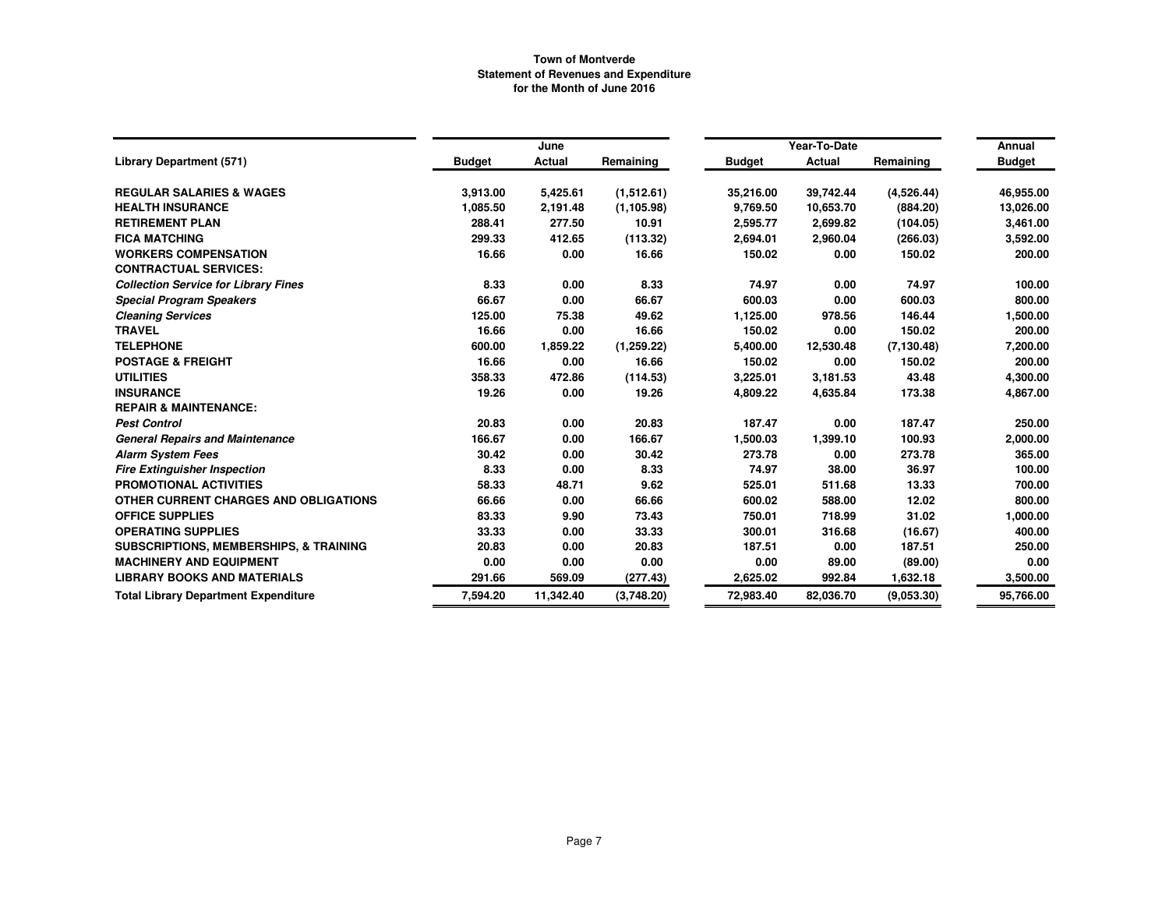|                                                   |               | June          |             |               | Year-To-Date  |             | Annual        |
|---------------------------------------------------|---------------|---------------|-------------|---------------|---------------|-------------|---------------|
| <b>Library Department (571)</b>                   | <b>Budget</b> | <b>Actual</b> | Remaining   | <b>Budget</b> | <b>Actual</b> | Remaining   | <b>Budget</b> |
| <b>REGULAR SALARIES &amp; WAGES</b>               | 3,913.00      | 5,425.61      | (1,512.61)  | 35,216.00     | 39,742.44     | (4,526.44)  | 46,955.00     |
| <b>HEALTH INSURANCE</b>                           | 1,085.50      | 2,191.48      | (1, 105.98) | 9,769.50      | 10,653.70     | (884.20)    | 13,026.00     |
| <b>RETIREMENT PLAN</b>                            | 288.41        | 277.50        | 10.91       | 2,595.77      | 2,699.82      | (104.05)    | 3,461.00      |
| <b>FICA MATCHING</b>                              | 299.33        | 412.65        | (113.32)    | 2,694.01      | 2,960.04      | (266.03)    | 3,592.00      |
| <b>WORKERS COMPENSATION</b>                       | 16.66         | 0.00          | 16.66       | 150.02        | 0.00          | 150.02      | 200.00        |
| <b>CONTRACTUAL SERVICES:</b>                      |               |               |             |               |               |             |               |
| <b>Collection Service for Library Fines</b>       | 8.33          | 0.00          | 8.33        | 74.97         | 0.00          | 74.97       | 100.00        |
| <b>Special Program Speakers</b>                   | 66.67         | 0.00          | 66.67       | 600.03        | 0.00          | 600.03      | 800.00        |
| <b>Cleaning Services</b>                          | 125.00        | 75.38         | 49.62       | 1,125.00      | 978.56        | 146.44      | 1,500.00      |
| <b>TRAVEL</b>                                     | 16.66         | 0.00          | 16.66       | 150.02        | 0.00          | 150.02      | 200.00        |
| <b>TELEPHONE</b>                                  | 600.00        | 1,859.22      | (1, 259.22) | 5,400.00      | 12,530.48     | (7, 130.48) | 7,200.00      |
| <b>POSTAGE &amp; FREIGHT</b>                      | 16.66         | 0.00          | 16.66       | 150.02        | 0.00          | 150.02      | 200.00        |
| <b>UTILITIES</b>                                  | 358.33        | 472.86        | (114.53)    | 3,225.01      | 3,181.53      | 43.48       | 4,300.00      |
| <b>INSURANCE</b>                                  | 19.26         | 0.00          | 19.26       | 4,809.22      | 4,635.84      | 173.38      | 4,867.00      |
| <b>REPAIR &amp; MAINTENANCE:</b>                  |               |               |             |               |               |             |               |
| <b>Pest Control</b>                               | 20.83         | 0.00          | 20.83       | 187.47        | 0.00          | 187.47      | 250.00        |
| <b>General Repairs and Maintenance</b>            | 166.67        | 0.00          | 166.67      | 1,500.03      | 1,399.10      | 100.93      | 2,000.00      |
| <b>Alarm System Fees</b>                          | 30.42         | 0.00          | 30.42       | 273.78        | 0.00          | 273.78      | 365.00        |
| <b>Fire Extinguisher Inspection</b>               | 8.33          | 0.00          | 8.33        | 74.97         | 38.00         | 36.97       | 100.00        |
| PROMOTIONAL ACTIVITIES                            | 58.33         | 48.71         | 9.62        | 525.01        | 511.68        | 13.33       | 700.00        |
| OTHER CURRENT CHARGES AND OBLIGATIONS             | 66.66         | 0.00          | 66.66       | 600.02        | 588.00        | 12.02       | 800.00        |
| <b>OFFICE SUPPLIES</b>                            | 83.33         | 9.90          | 73.43       | 750.01        | 718.99        | 31.02       | 1,000.00      |
| <b>OPERATING SUPPLIES</b>                         | 33.33         | 0.00          | 33.33       | 300.01        | 316.68        | (16.67)     | 400.00        |
| <b>SUBSCRIPTIONS, MEMBERSHIPS, &amp; TRAINING</b> | 20.83         | 0.00          | 20.83       | 187.51        | 0.00          | 187.51      | 250.00        |
| <b>MACHINERY AND EQUIPMENT</b>                    | 0.00          | 0.00          | 0.00        | 0.00          | 89.00         | (89.00)     | 0.00          |
| <b>LIBRARY BOOKS AND MATERIALS</b>                | 291.66        | 569.09        | (277.43)    | 2,625.02      | 992.84        | 1,632.18    | 3,500.00      |
| <b>Total Library Department Expenditure</b>       | 7,594.20      | 11,342.40     | (3,748.20)  | 72,983.40     | 82,036.70     | (9,053.30)  | 95,766.00     |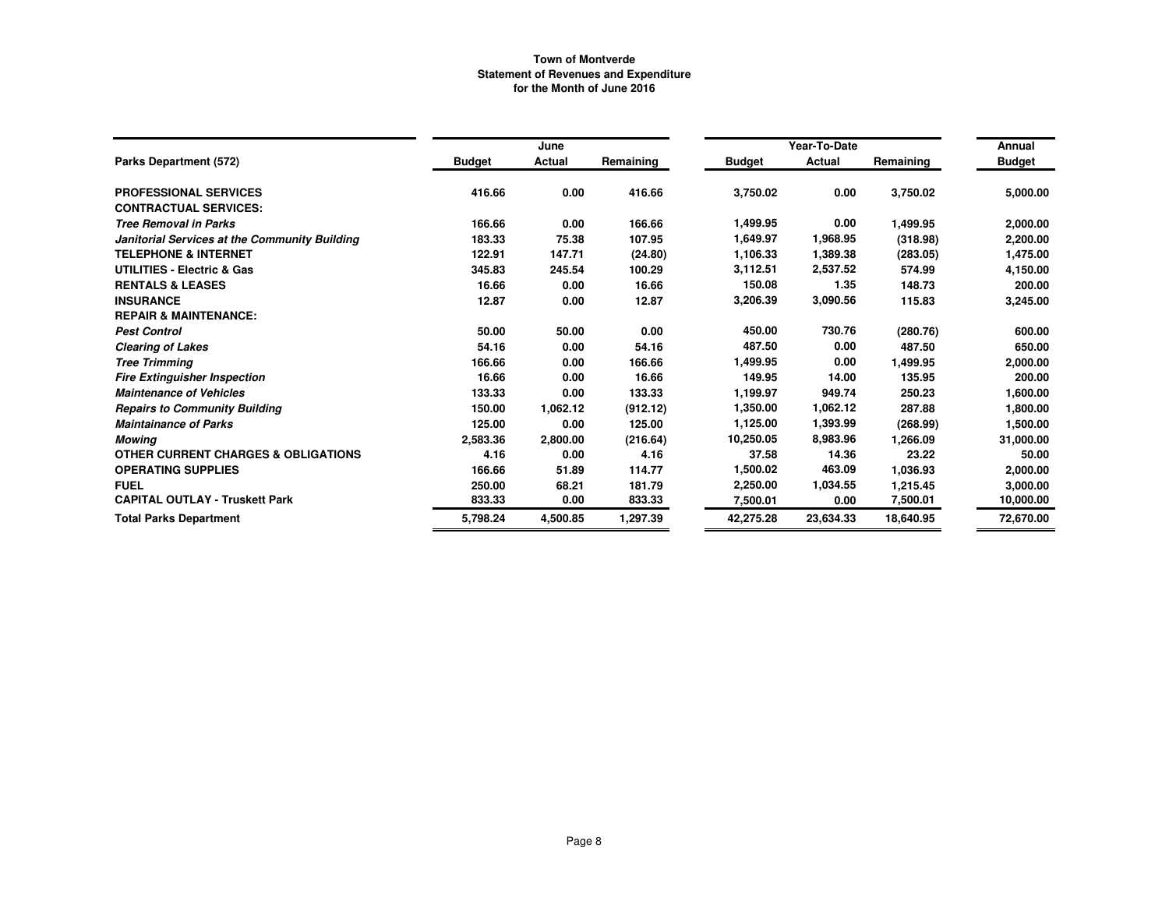|                                                |               | June     |           |               | Year-To-Date |           | Annual        |
|------------------------------------------------|---------------|----------|-----------|---------------|--------------|-----------|---------------|
| Parks Department (572)                         | <b>Budget</b> | Actual   | Remaining | <b>Budget</b> | Actual       | Remaining | <b>Budget</b> |
| <b>PROFESSIONAL SERVICES</b>                   | 416.66        | 0.00     | 416.66    | 3,750.02      | 0.00         | 3,750.02  | 5,000.00      |
| <b>CONTRACTUAL SERVICES:</b>                   |               |          |           |               |              |           |               |
| <b>Tree Removal in Parks</b>                   | 166.66        | 0.00     | 166.66    | 1,499.95      | 0.00         | 1,499.95  | 2,000.00      |
| Janitorial Services at the Community Building  | 183.33        | 75.38    | 107.95    | 1,649.97      | 1,968.95     | (318.98)  | 2,200.00      |
| <b>TELEPHONE &amp; INTERNET</b>                | 122.91        | 147.71   | (24.80)   | 1,106.33      | 1,389.38     | (283.05)  | 1,475.00      |
| <b>UTILITIES - Electric &amp; Gas</b>          | 345.83        | 245.54   | 100.29    | 3,112.51      | 2,537.52     | 574.99    | 4,150.00      |
| <b>RENTALS &amp; LEASES</b>                    | 16.66         | 0.00     | 16.66     | 150.08        | 1.35         | 148.73    | 200.00        |
| <b>INSURANCE</b>                               | 12.87         | 0.00     | 12.87     | 3,206.39      | 3,090.56     | 115.83    | 3,245.00      |
| <b>REPAIR &amp; MAINTENANCE:</b>               |               |          |           |               |              |           |               |
| <b>Pest Control</b>                            | 50.00         | 50.00    | 0.00      | 450.00        | 730.76       | (280.76)  | 600.00        |
| <b>Clearing of Lakes</b>                       | 54.16         | 0.00     | 54.16     | 487.50        | 0.00         | 487.50    | 650.00        |
| <b>Tree Trimming</b>                           | 166.66        | 0.00     | 166.66    | 1,499.95      | 0.00         | 1,499.95  | 2,000.00      |
| <b>Fire Extinguisher Inspection</b>            | 16.66         | 0.00     | 16.66     | 149.95        | 14.00        | 135.95    | 200.00        |
| <b>Maintenance of Vehicles</b>                 | 133.33        | 0.00     | 133.33    | 1,199.97      | 949.74       | 250.23    | 1,600.00      |
| <b>Repairs to Community Building</b>           | 150.00        | 1,062.12 | (912.12)  | 1,350.00      | 1,062.12     | 287.88    | 1,800.00      |
| <b>Maintainance of Parks</b>                   | 125.00        | 0.00     | 125.00    | 1,125.00      | 1,393.99     | (268.99)  | 1,500.00      |
| Mowing                                         | 2,583.36      | 2,800.00 | (216.64)  | 10,250.05     | 8,983.96     | 1,266.09  | 31,000.00     |
| <b>OTHER CURRENT CHARGES &amp; OBLIGATIONS</b> | 4.16          | 0.00     | 4.16      | 37.58         | 14.36        | 23.22     | 50.00         |
| <b>OPERATING SUPPLIES</b>                      | 166.66        | 51.89    | 114.77    | 1,500.02      | 463.09       | 1,036.93  | 2,000.00      |
| <b>FUEL</b>                                    | 250.00        | 68.21    | 181.79    | 2,250.00      | 1,034.55     | 1,215.45  | 3,000.00      |
| <b>CAPITAL OUTLAY - Truskett Park</b>          | 833.33        | 0.00     | 833.33    | 7,500.01      | 0.00         | 7,500.01  | 10,000.00     |
| <b>Total Parks Department</b>                  | 5,798.24      | 4,500.85 | 1,297.39  | 42,275.28     | 23,634.33    | 18,640.95 | 72,670.00     |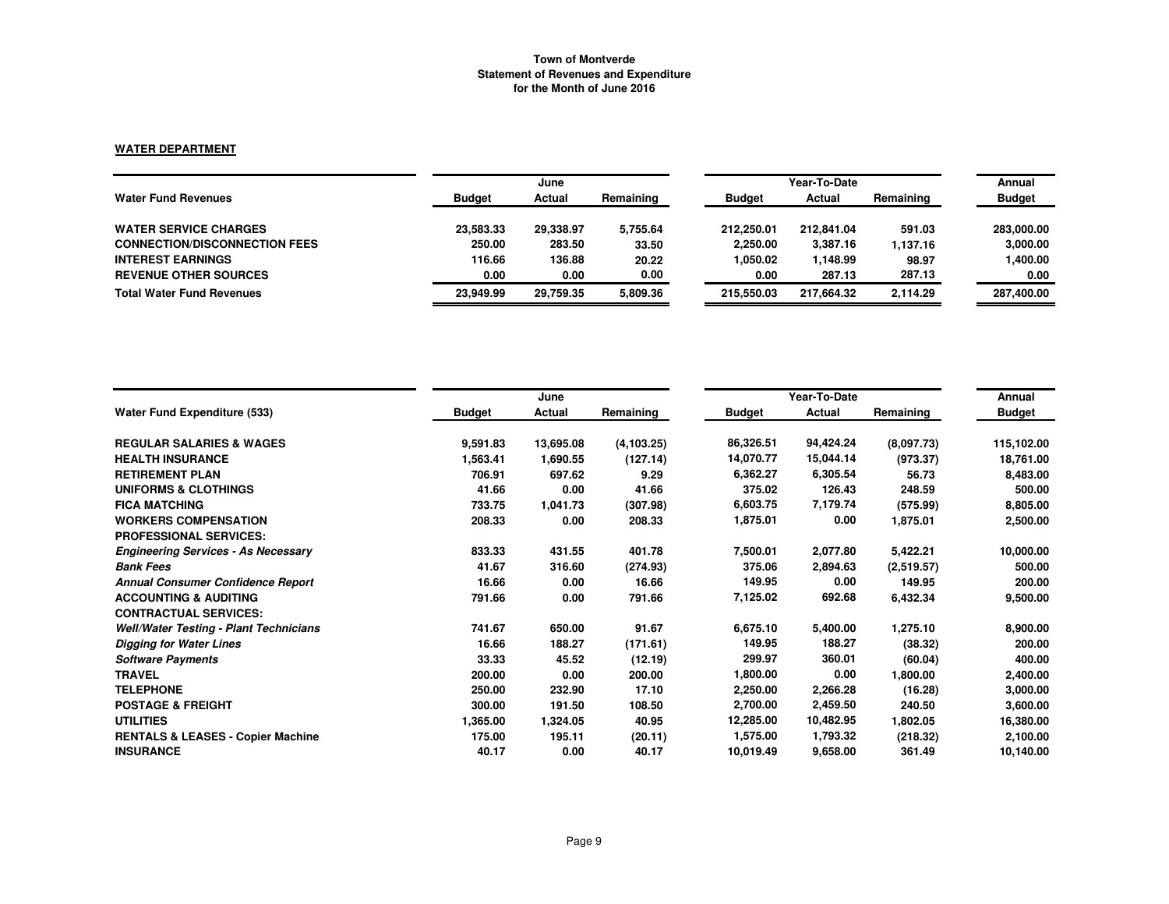### **WATER DEPARTMENT**

|                                      | June          |           |           |               | Annual     |           |               |
|--------------------------------------|---------------|-----------|-----------|---------------|------------|-----------|---------------|
| <b>Water Fund Revenues</b>           | <b>Budget</b> | Actual    | Remaining | <b>Budget</b> | Actual     | Remaining | <b>Budget</b> |
| <b>WATER SERVICE CHARGES</b>         | 23,583.33     | 29,338.97 | 5,755.64  | 212.250.01    | 212.841.04 | 591.03    | 283.000.00    |
| <b>CONNECTION/DISCONNECTION FEES</b> | 250.00        | 283.50    | 33.50     | 2,250.00      | 3,387.16   | 1.137.16  | 3,000.00      |
| <b>INTEREST EARNINGS</b>             | 116.66        | 136.88    | 20.22     | 1.050.02      | 1,148.99   | 98.97     | 1,400.00      |
| <b>REVENUE OTHER SOURCES</b>         | 0.00          | 0.00      | 0.00      | 0.00          | 287.13     | 287.13    | 0.00          |
| <b>Total Water Fund Revenues</b>     | 23.949.99     | 29.759.35 | 5.809.36  | 215.550.03    | 217.664.32 | 2.114.29  | 287,400.00    |

|                                               |               | June      |             |               | Year-To-Date |            | Annual        |
|-----------------------------------------------|---------------|-----------|-------------|---------------|--------------|------------|---------------|
| <b>Water Fund Expenditure (533)</b>           | <b>Budget</b> | Actual    | Remaining   | <b>Budget</b> | Actual       | Remaining  | <b>Budget</b> |
| <b>REGULAR SALARIES &amp; WAGES</b>           | 9,591.83      | 13,695.08 | (4, 103.25) | 86,326.51     | 94,424.24    | (8,097.73) | 115,102.00    |
| <b>HEALTH INSURANCE</b>                       | 1,563.41      | 1,690.55  | (127.14)    | 14,070.77     | 15,044.14    | (973.37)   | 18,761.00     |
| <b>RETIREMENT PLAN</b>                        | 706.91        | 697.62    | 9.29        | 6.362.27      | 6,305.54     | 56.73      | 8,483.00      |
| UNIFORMS & CLOTHINGS                          | 41.66         | 0.00      | 41.66       | 375.02        | 126.43       | 248.59     | 500.00        |
| <b>FICA MATCHING</b>                          | 733.75        | 1,041.73  | (307.98)    | 6,603.75      | 7,179.74     | (575.99)   | 8,805.00      |
| <b>WORKERS COMPENSATION</b>                   | 208.33        | 0.00      | 208.33      | 1,875.01      | 0.00         | 1,875.01   | 2,500.00      |
| <b>PROFESSIONAL SERVICES:</b>                 |               |           |             |               |              |            |               |
| <b>Engineering Services - As Necessary</b>    | 833.33        | 431.55    | 401.78      | 7,500.01      | 2,077.80     | 5,422.21   | 10,000.00     |
| <b>Bank Fees</b>                              | 41.67         | 316.60    | (274.93)    | 375.06        | 2,894.63     | (2,519.57) | 500.00        |
| <b>Annual Consumer Confidence Report</b>      | 16.66         | 0.00      | 16.66       | 149.95        | 0.00         | 149.95     | 200.00        |
| <b>ACCOUNTING &amp; AUDITING</b>              | 791.66        | 0.00      | 791.66      | 7,125.02      | 692.68       | 6,432.34   | 9,500.00      |
| <b>CONTRACTUAL SERVICES:</b>                  |               |           |             |               |              |            |               |
| <b>Well/Water Testing - Plant Technicians</b> | 741.67        | 650.00    | 91.67       | 6,675.10      | 5,400.00     | 1,275.10   | 8,900.00      |
| <b>Digging for Water Lines</b>                | 16.66         | 188.27    | (171.61)    | 149.95        | 188.27       | (38.32)    | 200.00        |
| <b>Software Payments</b>                      | 33.33         | 45.52     | (12.19)     | 299.97        | 360.01       | (60.04)    | 400.00        |
| <b>TRAVEL</b>                                 | 200.00        | 0.00      | 200.00      | 1,800.00      | 0.00         | 1,800.00   | 2,400.00      |
| <b>TELEPHONE</b>                              | 250.00        | 232.90    | 17.10       | 2,250.00      | 2,266.28     | (16.28)    | 3,000.00      |
| <b>POSTAGE &amp; FREIGHT</b>                  | 300.00        | 191.50    | 108.50      | 2,700.00      | 2,459.50     | 240.50     | 3,600.00      |
| <b>UTILITIES</b>                              | 1,365.00      | 1,324.05  | 40.95       | 12,285.00     | 10,482.95    | 1,802.05   | 16,380.00     |
| <b>RENTALS &amp; LEASES - Copier Machine</b>  | 175.00        | 195.11    | (20.11)     | 1,575.00      | 1,793.32     | (218.32)   | 2,100.00      |
| <b>INSURANCE</b>                              | 40.17         | 0.00      | 40.17       | 10,019.49     | 9,658.00     | 361.49     | 10,140.00     |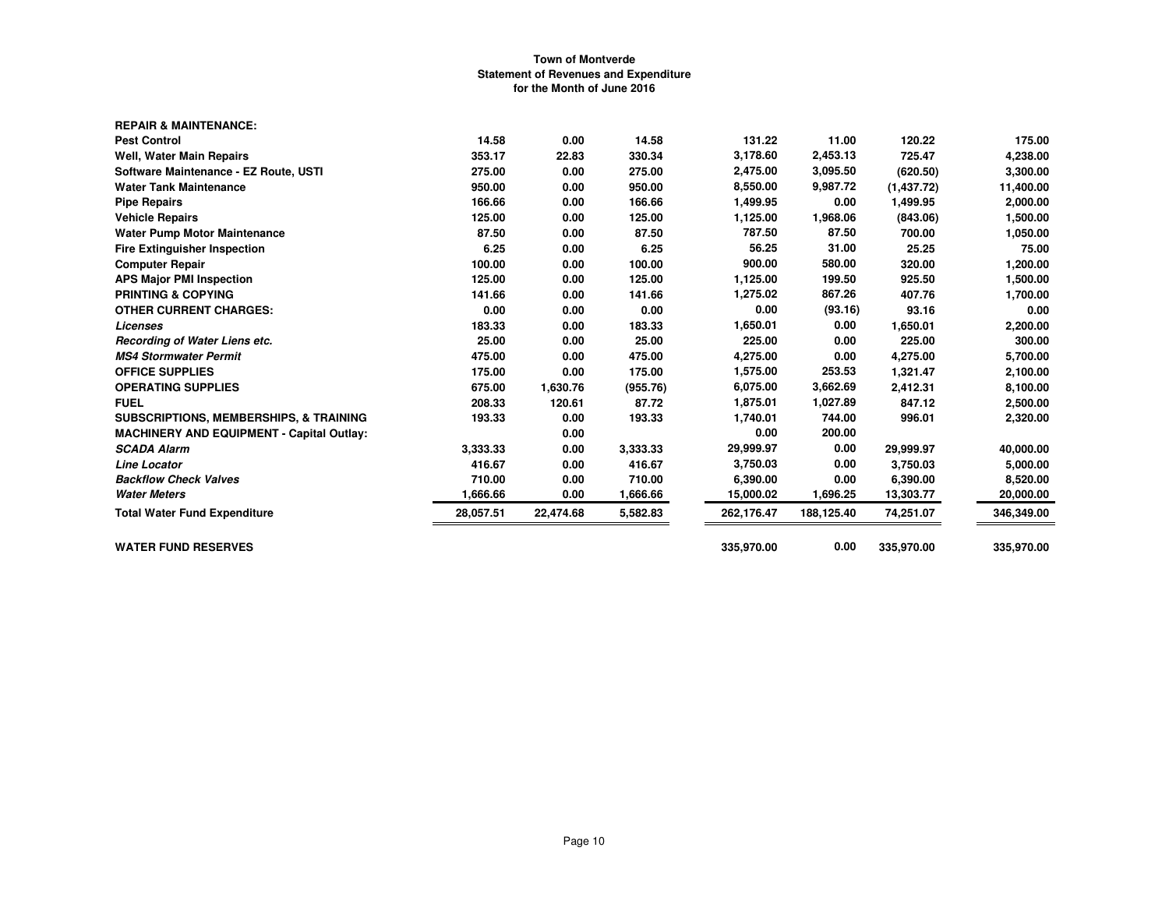| <b>REPAIR &amp; MAINTENANCE:</b>                  |           |           |          |            |            |             |            |
|---------------------------------------------------|-----------|-----------|----------|------------|------------|-------------|------------|
| <b>Pest Control</b>                               | 14.58     | 0.00      | 14.58    | 131.22     | 11.00      | 120.22      | 175.00     |
| <b>Well, Water Main Repairs</b>                   | 353.17    | 22.83     | 330.34   | 3.178.60   | 2,453.13   | 725.47      | 4,238.00   |
| Software Maintenance - EZ Route, USTI             | 275.00    | 0.00      | 275.00   | 2,475.00   | 3,095.50   | (620.50)    | 3,300.00   |
| <b>Water Tank Maintenance</b>                     | 950.00    | 0.00      | 950.00   | 8,550.00   | 9,987.72   | (1, 437.72) | 11,400.00  |
| <b>Pipe Repairs</b>                               | 166.66    | 0.00      | 166.66   | 1,499.95   | 0.00       | 1,499.95    | 2,000.00   |
| <b>Vehicle Repairs</b>                            | 125.00    | 0.00      | 125.00   | 1,125.00   | 1,968.06   | (843.06)    | 1,500.00   |
| <b>Water Pump Motor Maintenance</b>               | 87.50     | 0.00      | 87.50    | 787.50     | 87.50      | 700.00      | 1,050.00   |
| <b>Fire Extinguisher Inspection</b>               | 6.25      | 0.00      | 6.25     | 56.25      | 31.00      | 25.25       | 75.00      |
| <b>Computer Repair</b>                            | 100.00    | 0.00      | 100.00   | 900.00     | 580.00     | 320.00      | 1,200.00   |
| <b>APS Major PMI Inspection</b>                   | 125.00    | 0.00      | 125.00   | 1,125.00   | 199.50     | 925.50      | 1,500.00   |
| <b>PRINTING &amp; COPYING</b>                     | 141.66    | 0.00      | 141.66   | 1,275.02   | 867.26     | 407.76      | 1,700.00   |
| <b>OTHER CURRENT CHARGES:</b>                     | 0.00      | 0.00      | 0.00     | 0.00       | (93.16)    | 93.16       | 0.00       |
| Licenses                                          | 183.33    | 0.00      | 183.33   | 1,650.01   | 0.00       | 1,650.01    | 2,200.00   |
| Recording of Water Liens etc.                     | 25.00     | 0.00      | 25.00    | 225.00     | 0.00       | 225.00      | 300.00     |
| <b>MS4 Stormwater Permit</b>                      | 475.00    | 0.00      | 475.00   | 4,275.00   | 0.00       | 4,275.00    | 5,700.00   |
| <b>OFFICE SUPPLIES</b>                            | 175.00    | 0.00      | 175.00   | 1,575.00   | 253.53     | 1,321.47    | 2,100.00   |
| <b>OPERATING SUPPLIES</b>                         | 675.00    | 1,630.76  | (955.76) | 6,075.00   | 3,662.69   | 2,412.31    | 8,100.00   |
| <b>FUEL</b>                                       | 208.33    | 120.61    | 87.72    | 1,875.01   | 1,027.89   | 847.12      | 2,500.00   |
| <b>SUBSCRIPTIONS, MEMBERSHIPS, &amp; TRAINING</b> | 193.33    | 0.00      | 193.33   | 1,740.01   | 744.00     | 996.01      | 2,320.00   |
| <b>MACHINERY AND EQUIPMENT - Capital Outlay:</b>  |           | 0.00      |          | 0.00       | 200.00     |             |            |
| <b>SCADA Alarm</b>                                | 3.333.33  | 0.00      | 3,333.33 | 29,999.97  | 0.00       | 29,999.97   | 40,000.00  |
| <b>Line Locator</b>                               | 416.67    | 0.00      | 416.67   | 3,750.03   | 0.00       | 3,750.03    | 5,000.00   |
| <b>Backflow Check Valves</b>                      | 710.00    | 0.00      | 710.00   | 6,390.00   | 0.00       | 6,390.00    | 8,520.00   |
| <b>Water Meters</b>                               | 1,666.66  | 0.00      | 1,666.66 | 15,000.02  | 1,696.25   | 13,303.77   | 20,000.00  |
| <b>Total Water Fund Expenditure</b>               | 28,057.51 | 22,474.68 | 5,582.83 | 262,176.47 | 188,125.40 | 74,251.07   | 346,349.00 |
| <b>WATER FUND RESERVES</b>                        |           |           |          | 335,970.00 | 0.00       | 335,970.00  | 335,970.00 |